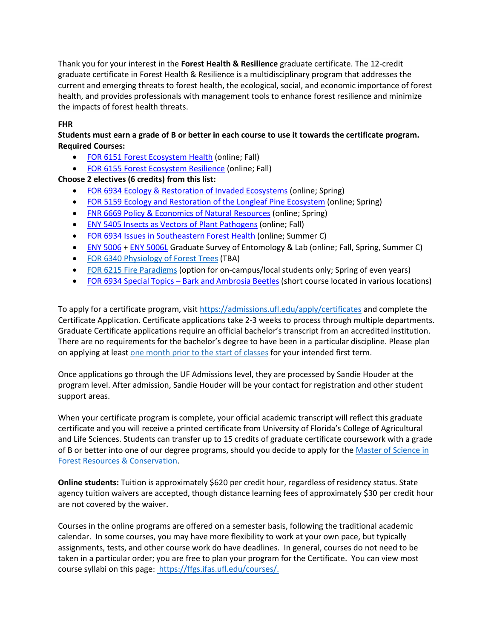Thank you for your interest in the **Forest Health & Resilience** graduate certificate. The 12-credit graduate certificate in Forest Health & Resilience is a multidisciplinary program that addresses the current and emerging threats to forest health, the ecological, social, and economic importance of forest health, and provides professionals with management tools to enhance forest resilience and minimize the impacts of forest health threats.

## **FHR**

## **Students must earn a grade of B or better in each course to use it towards the certificate program. Required Courses:**

- [FOR 6151 Forest Ecosystem Health](https://ffgs.ifas.ufl.edu/files/syllabus/for6151.pdf) (online; Fall)
- FOR 6155 [Forest Ecosystem Resilience](https://ffgs.ifas.ufl.edu/files/syllabus/FOR6934-Ecosystem_Resilience.pdf) (online; Fall)

**Choose 2 electives (6 credits) from this list:**

- [FOR 6934 Ecology & Restoration of Invaded Ecosystems](https://ffgs.ifas.ufl.edu/files/syllabus/FOR6934-ecology-restoration-invaded-ecosystems.pdf) (online; Spring)
- [FOR 5159 Ecology and Restoration of the Longleaf Pine Ecosystem](https://ffgs.ifas.ufl.edu/files/syllabus/for5159.pdf) (online; Spring)
- [FNR 6669 Policy & Economics of Natural Resources](https://ffgs.ifas.ufl.edu/files/syllabus/fnr6669.pdf) (online; Spring)
- [ENY 5405 Insects as Vectors of Plant Pathogens](https://onlineentomology.ifas.ufl.edu/wp-content/uploads/syllabi/ENY5405_Syllabus_Fall2019.pdf) (online; Fall)
- [FOR 6934 Issues in Southeastern Forest Health](https://ffgs.ifas.ufl.edu/files/syllabus/FOR6934-SE-Forest-Health.pdf) (online; Summer C)
- [ENY 5006](https://entnemdept.ifas.ufl.edu/academics/syllabi/ENY3005and5006_201X_Baldwin.pdf) + [ENY 5006L](https://entnemdept.ifas.ufl.edu/academics/syllabi/ENY3005Land5006L_201X_Baldwin.pdf) Graduate Survey of Entomology & Lab (online; Fall, Spring, Summer C)
- [FOR 6340 Physiology of Forest Trees](https://ffgs.ifas.ufl.edu/files/syllabus/FOR6340.pdf) (TBA)
- [FOR 6215 Fire Paradigms](https://ffgs.ifas.ufl.edu/files/syllabus/for6215.pdf) (option for on-campus/local students only; Spring of even years)
- FOR 6934 Special Topics [Bark and Ambrosia Beetles](https://ffgs.ifas.ufl.edu/files/syllabus/FOR6934_Bark_Ambrosia_Beetles%20.pdf) (short course located in various locations)

To apply for a certificate program, visit <https://admissions.ufl.edu/apply/certificates> and complete the Certificate Application. Certificate applications take 2-3 weeks to process through multiple departments. Graduate Certificate applications require an official bachelor's transcript from an accredited institution. There are no requirements for the bachelor's degree to have been in a particular discipline. Please plan on applying at leas[t one month prior to the start of classes](https://catalog.ufl.edu/ugrad/current/Pages/dates-and-deadlines.aspx) for your intended first term.

Once applications go through the UF Admissions level, they are processed by Sandie Houder at the program level. After admission, Sandie Houder will be your contact for registration and other student support areas.

When your certificate program is complete, your official academic transcript will reflect this graduate certificate and you will receive a printed certificate from University of Florida's College of Agricultural and Life Sciences. Students can transfer up to 15 credits of graduate certificate coursework with a grade of B or better into one of our degree programs, should you decide to apply for the [Master of Science in](https://ffgs.ifas.ufl.edu/academics/graduate/)  [Forest Resources & Conservation.](https://ffgs.ifas.ufl.edu/academics/graduate/)

**Online students:** Tuition is approximately \$620 per credit hour, regardless of residency status. State agency tuition waivers are accepted, though distance learning fees of approximately \$30 per credit hour are not covered by the waiver.

Courses in the online programs are offered on a semester basis, following the traditional academic calendar. In some courses, you may have more flexibility to work at your own pace, but typically assignments, tests, and other course work do have deadlines. In general, courses do not need to be taken in a particular order; you are free to plan your program for the Certificate. You can view most course syllabi on this page: [https://ffgs.ifas.ufl.edu/courses/.](https://ffgs.ifas.ufl.edu/courses/)